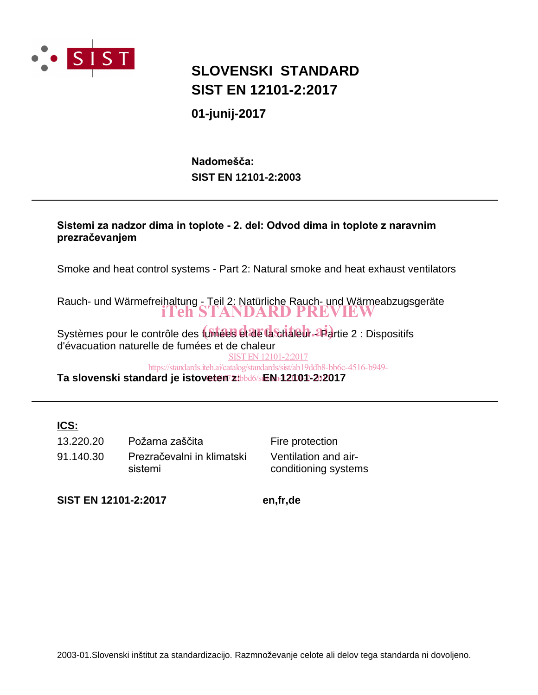

# **SIST EN 12101-2:2017 SLOVENSKI STANDARD**

**01-junij-2017**

**SIST EN 12101-2:2003** Nadomešča:

#### Sistemi za nadzor dima in toplote - 2. del: Odvod dima in toplote z naravnim prezračevanjem

Smoke and heat control systems - Part 2: Natural smoke and heat exhaust ventilators

Rauch- und Wärmefreihaltung - Teil 2: Natürliche Rauch- und Wärmeabzugsgeräte iTeh STANDARD PREVIEW

Systèmes pour le contrôle des fumées et au la chaleur - Partie 2 : Dispositifs d'évacuation naturelle de fumées et de chaleur SIST EN 12101-2:2017

**Ta slovenski standard je istoveten z: EN 12101-2:2017** 0ab0475dbbd6/sist-en-12101-2-2017https://standards.iteh.ai/catalog/standards/sist/ab19ddb8-bb6c-4516-b949-

### **ICS:**

| 13.220.20 | Požarna zaščita                       |
|-----------|---------------------------------------|
| 91.140.30 | Prezračevalni in klimatski<br>sistemi |

Ventilation and airconditioning systems Fire protection

**SIST EN 12101-2:2017 en,fr,de**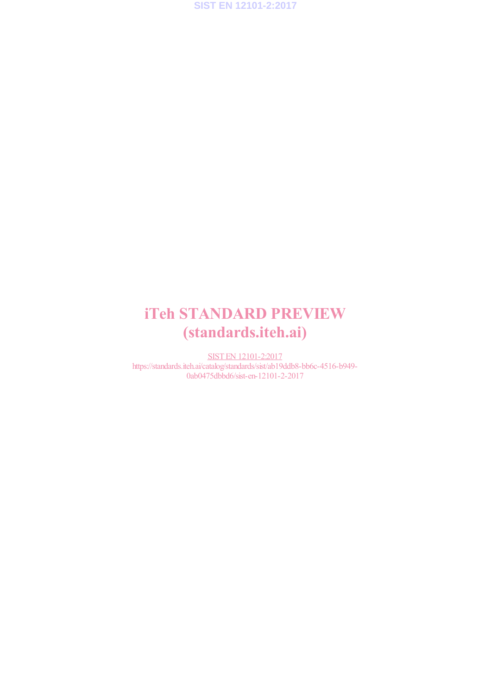

# iTeh STANDARD PREVIEW (standards.iteh.ai)

SIST EN 12101-2:2017 https://standards.iteh.ai/catalog/standards/sist/ab19ddb8-bb6c-4516-b949- 0ab0475dbbd6/sist-en-12101-2-2017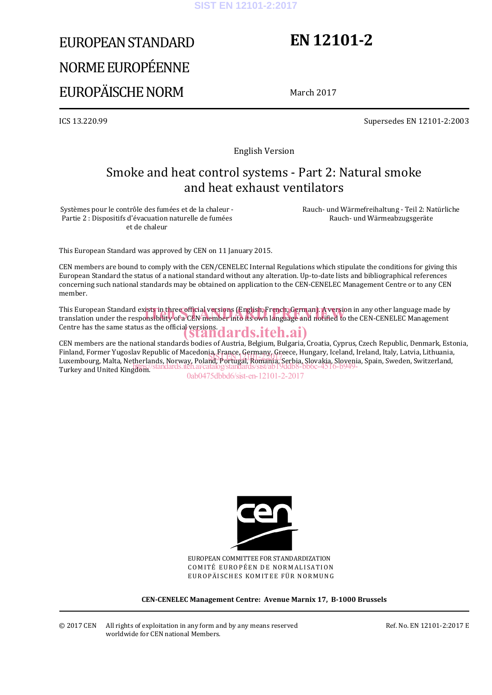# EUROPEAN STANDARD NORME EUROPÉENNE EUROPÄISCHE NORM

# **EN 12101-2**

March 2017

ICS 13.220.99 Supersedes EN 12101-2:2003

English Version

### Smoke and heat control systems - Part 2: Natural smoke and heat exhaust ventilators

Systèmes pour le contrôle des fumées et de la chaleur - Partie 2 : Dispositifs d'évacuation naturelle de fumées et de chaleur

 Rauch- und Wärmefreihaltung - Teil 2: Natürliche Rauch- und Wärmeabzugsgeräte

This European Standard was approved by CEN on 11 January 2015.

CEN members are bound to comply with the CEN/CENELEC Internal Regulations which stipulate the conditions for giving this European Standard the status of a national standard without any alteration. Up-to-date lists and bibliographical references concerning such national standards may be obtained on application to the CEN-CENELEC Management Centre or to any CEN member.

This European Standard exists in three official versions (English, French, German). A version in any other language made by This European Standard exists in three official versions (English, French, German). A version in any other language made by<br>translation under the responsibility of a CEN member into its own language and notified to the CEN Centre has the same status as the official versions.<br>
Standards.iteh.ai)

CEN members are the national standards bodies of Austria, Belgium, Bulgaria, Croatia, Cyprus, Czech Republic, Denmark, Estonia, Finland, Former Yugoslav Republic of Macedonia, France, Germany, Greece, Hungary, Iceland, Ireland, Italy, Latvia, Lithuania, rinianu, roriner Tugosiav Republic of Maceuonia, France, Germany<sub>o</sub>u eece, Hungary, Icelanu, Irelanu, Italy, Latvia, Lithuania,<br>Luxembourg, Malta, Netherlands, Norway, Poland, Portugal, Romania, Serbia, Slovak<u>ia, Sloven</u>i Turkey and United Kingdom. https://standards.iteh.ai/catalog/standards/sist/ab19ddb8-bb6c-4516-b949-

0ab0475dbbd6/sist-en-12101-2-2017



EUROPEAN COMMITTEE FOR STANDARDIZATION COMITÉ EUROPÉEN DE NORMALISATION EUROPÄISCHES KOMITEE FÜR NORMUNG

**CEN-CENELEC Management Centre: Avenue Marnix 17, B-1000 Brussels**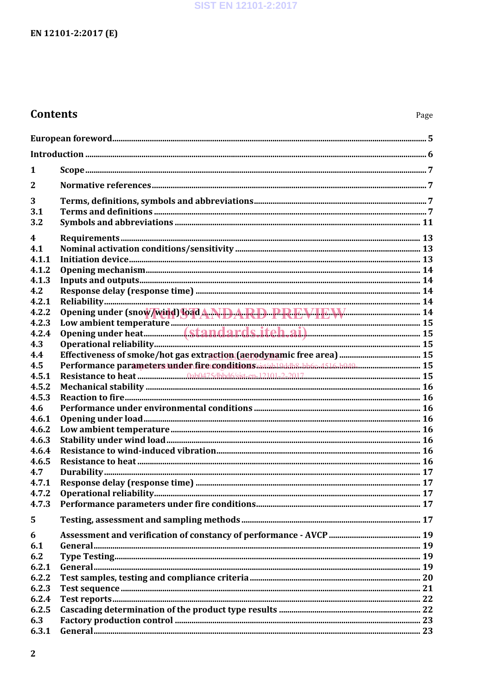### EN 12101-2:2017 (E)

### **Contents**

| 1<br>$\overline{2}$<br>3<br>3.1                                                                               |  |
|---------------------------------------------------------------------------------------------------------------|--|
|                                                                                                               |  |
|                                                                                                               |  |
|                                                                                                               |  |
|                                                                                                               |  |
|                                                                                                               |  |
| 3.2                                                                                                           |  |
| 4                                                                                                             |  |
| 4.1                                                                                                           |  |
| 4.1.1                                                                                                         |  |
| 4.1.2                                                                                                         |  |
| 4.1.3                                                                                                         |  |
| 4.2                                                                                                           |  |
| 4.2.1                                                                                                         |  |
| 4.2.2                                                                                                         |  |
| 4.2.3                                                                                                         |  |
| 4.2.4                                                                                                         |  |
| 4.3                                                                                                           |  |
| 4.4                                                                                                           |  |
| Performance parameters under fire conditions sistabl9ddb8-bb6c-4516-b949--------------------------- 15<br>4.5 |  |
| 4.5.1                                                                                                         |  |
| 4.5.2                                                                                                         |  |
| 4.5.3                                                                                                         |  |
| 4.6                                                                                                           |  |
| 4.6.1                                                                                                         |  |
| 4.6.2                                                                                                         |  |
| 4.6.3                                                                                                         |  |
| 4.6.4                                                                                                         |  |
| 4.6.5                                                                                                         |  |
|                                                                                                               |  |
| 4.7                                                                                                           |  |
| 4.7.1                                                                                                         |  |
| 4.7.2                                                                                                         |  |
| 4.7.3                                                                                                         |  |
| 5                                                                                                             |  |
| 6                                                                                                             |  |
| 6.1                                                                                                           |  |
| 6.2                                                                                                           |  |
| 6.2.1                                                                                                         |  |
| 6.2.2                                                                                                         |  |
| 6.2.3                                                                                                         |  |
| 6.2.4                                                                                                         |  |
| 6.2.5                                                                                                         |  |
| 6.3                                                                                                           |  |
| 6.3.1                                                                                                         |  |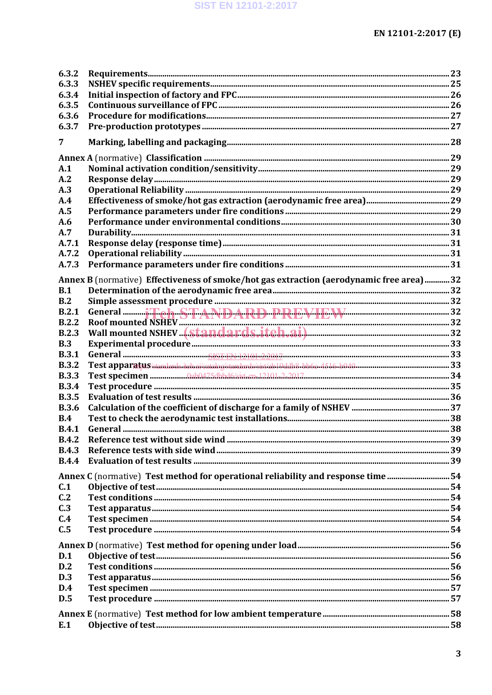| 6.3.2        |                                                                                         |  |
|--------------|-----------------------------------------------------------------------------------------|--|
| 6.3.3        |                                                                                         |  |
| 6.3.4        |                                                                                         |  |
| 6.3.5        |                                                                                         |  |
| 6.3.6        |                                                                                         |  |
| 6.3.7        |                                                                                         |  |
|              |                                                                                         |  |
| 7            |                                                                                         |  |
|              |                                                                                         |  |
| A.1          |                                                                                         |  |
| A.2          |                                                                                         |  |
| A.3          |                                                                                         |  |
| A.4          |                                                                                         |  |
|              |                                                                                         |  |
| A.5          |                                                                                         |  |
| A.6          |                                                                                         |  |
| A.7          |                                                                                         |  |
| A.7.1        |                                                                                         |  |
| A.7.2        |                                                                                         |  |
| A.7.3        |                                                                                         |  |
|              | Annex B (normative) Effectiveness of smoke/hot gas extraction (aerodynamic free area)32 |  |
| B.1          |                                                                                         |  |
| B.2          |                                                                                         |  |
| B.2.1        |                                                                                         |  |
| B.2.2        |                                                                                         |  |
|              |                                                                                         |  |
| B.2.3        |                                                                                         |  |
| B.3          |                                                                                         |  |
| <b>B.3.1</b> |                                                                                         |  |
| <b>B.3.2</b> |                                                                                         |  |
| <b>B.3.3</b> |                                                                                         |  |
| <b>B.3.4</b> |                                                                                         |  |
| <b>B.3.5</b> |                                                                                         |  |
| <b>B.3.6</b> |                                                                                         |  |
| B.4          |                                                                                         |  |
| B.4.1        |                                                                                         |  |
| <b>B.4.2</b> |                                                                                         |  |
| <b>B.4.3</b> |                                                                                         |  |
| <b>B.4.4</b> |                                                                                         |  |
|              |                                                                                         |  |
|              | Annex C (normative) Test method for operational reliability and response time 54        |  |
| C.1          |                                                                                         |  |
| C.2          |                                                                                         |  |
| C.3          |                                                                                         |  |
| C.4          |                                                                                         |  |
| C.5          |                                                                                         |  |
|              |                                                                                         |  |
| D.1          |                                                                                         |  |
| D.2          |                                                                                         |  |
| D.3          |                                                                                         |  |
| D.4          |                                                                                         |  |
|              |                                                                                         |  |
| D.5          |                                                                                         |  |
|              |                                                                                         |  |
| E.1          |                                                                                         |  |
|              |                                                                                         |  |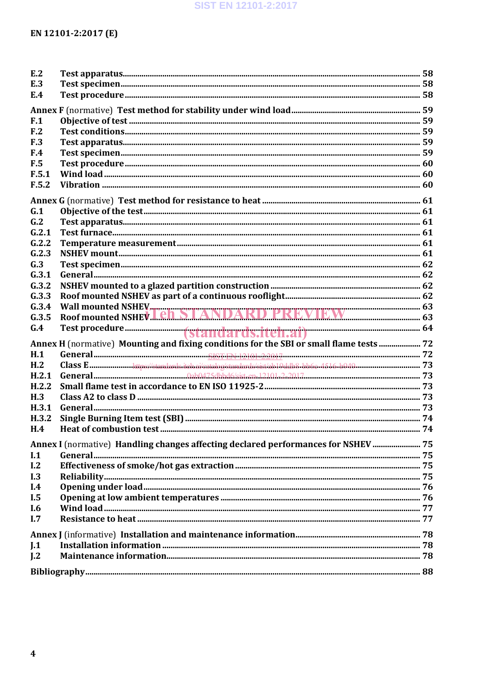### EN 12101-2:2017 (E)

| E.2            |                                                                                         |  |
|----------------|-----------------------------------------------------------------------------------------|--|
| E.3            |                                                                                         |  |
| E.4            |                                                                                         |  |
|                |                                                                                         |  |
| F.1            |                                                                                         |  |
| F.2            |                                                                                         |  |
| F.3            |                                                                                         |  |
| F.4            |                                                                                         |  |
| F.5            |                                                                                         |  |
| F.5.1          |                                                                                         |  |
| F.5.2          |                                                                                         |  |
|                |                                                                                         |  |
|                |                                                                                         |  |
| G.1            |                                                                                         |  |
| G.2            |                                                                                         |  |
| G.2.1          |                                                                                         |  |
| G.2.2          |                                                                                         |  |
| G.2.3          |                                                                                         |  |
| G.3            |                                                                                         |  |
| G.3.1          |                                                                                         |  |
| G.3.2          |                                                                                         |  |
| G.3.3          |                                                                                         |  |
| G.3.4          |                                                                                         |  |
| G.3.5          | Wall mounted NSHEV<br>Roof mounted NSHEV <b>Leh STANDARD PREVIEW</b> 63                 |  |
| G.4            |                                                                                         |  |
|                | Annex H (normative) Mounting and fixing conditions for the SBI or small flame tests  72 |  |
|                |                                                                                         |  |
|                |                                                                                         |  |
| H.1            |                                                                                         |  |
| H <sub>2</sub> |                                                                                         |  |
| H.2.1          |                                                                                         |  |
| H.2.2          |                                                                                         |  |
| H <sub>3</sub> |                                                                                         |  |
| H.3.1          |                                                                                         |  |
| H.3.2          |                                                                                         |  |
| H.4            |                                                                                         |  |
|                |                                                                                         |  |
| I.1            | Annex I (normative) Handling changes affecting declared performances for NSHEV          |  |
| 1.2            |                                                                                         |  |
|                |                                                                                         |  |
| I.3            |                                                                                         |  |
| I.4            |                                                                                         |  |
| I.5            |                                                                                         |  |
| I.6            |                                                                                         |  |
| I.7            |                                                                                         |  |
|                |                                                                                         |  |
| J.1            |                                                                                         |  |
| J.2            |                                                                                         |  |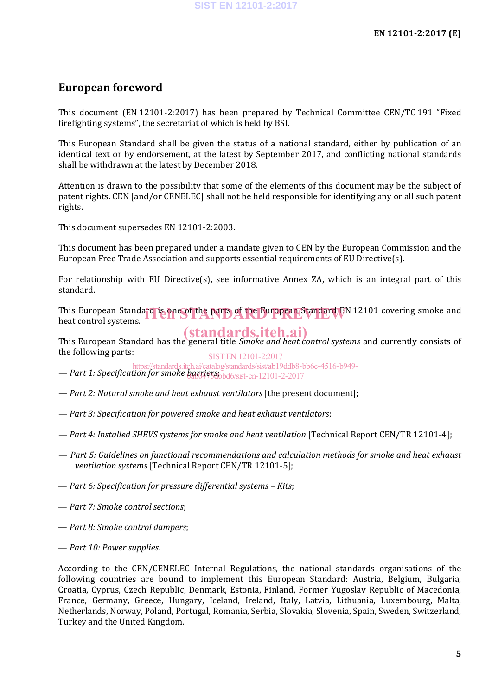### **European foreword**

This document (EN 12101-2:2017) has been prepared by Technical Committee CEN/TC 191 "Fixed firefighting systems", the secretariat of which is held by BSI.

This European Standard shall be given the status of a national standard, either by publication of an identical text or by endorsement, at the latest by September 2017, and conflicting national standards shall be withdrawn at the latest by December 2018.

Attention is drawn to the possibility that some of the elements of this document may be the subject of patent rights. CEN [and/or CENELEC] shall not be held responsible for identifying any or all such patent rights.

This document supersedes EN 12101-2:2003.

This document has been prepared under a mandate given to CEN by the European Commission and the European Free Trade Association and supports essential requirements of EU Directive(s).

For relationship with EU Directive(s), see informative Annex ZA, which is an integral part of this standard.

This European Standard is one of the parts of the European Standard EN 12101 covering smoke and<br>heat control systems. heat control systems.

This European Standard has the general title *Smoke and heat control systems* and currently consists of the following parts: (standards.iteh.ai) SIST EN 12101-2:2017

— *Part 1: Specification for smoke barriers*; bbd6/sist-en-12101-2-2017 https://standards.iteh.ai/catalog/standards/sist/ab19ddb8-bb6c-4516-b949-

— *Part 2: Natural smoke and heat exhaust ventilators* [the present document];

- *Part 3: Specification for powered smoke and heat exhaust ventilators*;
- *Part 4: Installed SHEVS systems for smoke and heat ventilation* [Technical Report CEN/TR 12101-4];
- *Part 5: Guidelines on functional recommendations and calculation methods for smoke and heat exhaust ventilation systems* [Technical Report CEN/TR 12101-5];
- *Part 6: Specification for pressure differential systems – Kits*;
- *Part 7: Smoke control sections*;
- *Part 8: Smoke control dampers*;
- *Part 10: Power supplies*.

According to the CEN/CENELEC Internal Regulations, the national standards organisations of the following countries are bound to implement this European Standard: Austria, Belgium, Bulgaria, Croatia, Cyprus, Czech Republic, Denmark, Estonia, Finland, Former Yugoslav Republic of Macedonia, France, Germany, Greece, Hungary, Iceland, Ireland, Italy, Latvia, Lithuania, Luxembourg, Malta, Netherlands, Norway, Poland, Portugal, Romania, Serbia, Slovakia, Slovenia, Spain, Sweden, Switzerland, Turkey and the United Kingdom.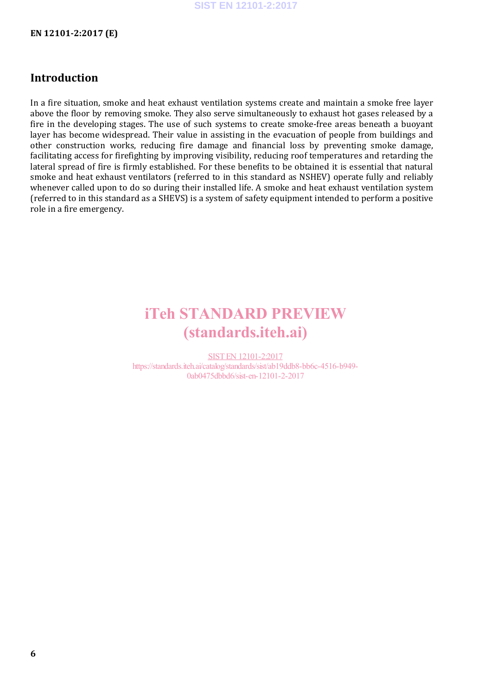**EN 12101-2:2017 (E)**

### **Introduction**

In a fire situation, smoke and heat exhaust ventilation systems create and maintain a smoke free layer above the floor by removing smoke. They also serve simultaneously to exhaust hot gases released by a fire in the developing stages. The use of such systems to create smoke-free areas beneath a buoyant layer has become widespread. Their value in assisting in the evacuation of people from buildings and other construction works, reducing fire damage and financial loss by preventing smoke damage, facilitating access for firefighting by improving visibility, reducing roof temperatures and retarding the lateral spread of fire is firmly established. For these benefits to be obtained it is essential that natural smoke and heat exhaust ventilators (referred to in this standard as NSHEV) operate fully and reliably whenever called upon to do so during their installed life. A smoke and heat exhaust ventilation system (referred to in this standard as a SHEVS) is a system of safety equipment intended to perform a positive role in a fire emergency.

# iTeh STANDARD PREVIEW (standards.iteh.ai)

SIST EN 12101-2:2017 https://standards.iteh.ai/catalog/standards/sist/ab19ddb8-bb6c-4516-b949- 0ab0475dbbd6/sist-en-12101-2-2017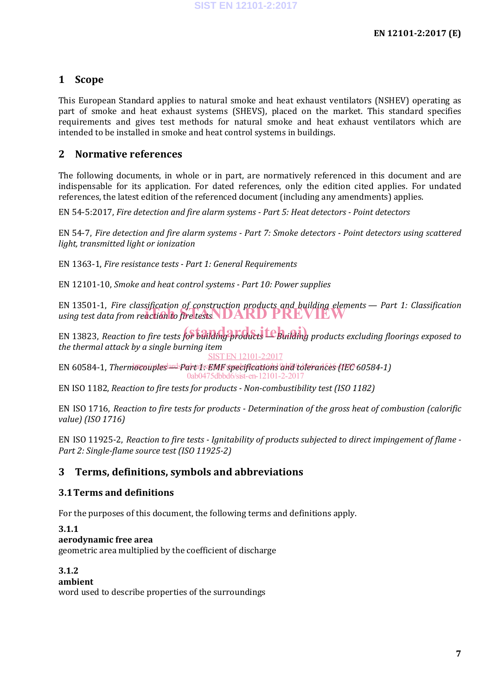### **1 Scope**

This European Standard applies to natural smoke and heat exhaust ventilators (NSHEV) operating as part of smoke and heat exhaust systems (SHEVS), placed on the market. This standard specifies requirements and gives test methods for natural smoke and heat exhaust ventilators which are intended to be installed in smoke and heat control systems in buildings.

#### **2 Normative references**

The following documents, in whole or in part, are normatively referenced in this document and are indispensable for its application. For dated references, only the edition cited applies. For undated references, the latest edition of the referenced document (including any amendments) applies.

EN 54-5:2017, *Fire detection and fire alarm systems - Part 5: Heat detectors - Point detectors*

EN 54-7, *Fire detection and fire alarm systems - Part 7: Smoke detectors - Point detectors using scattered light, transmitted light or ionization*

EN 1363-1, *Fire resistance tests - Part 1: General Requirements*

EN 12101-10, *Smoke and heat control systems - Part 10: Power supplies*

EN 13501-1, *Fire classification of construction products and building elements — Part 1: Classification*  and *participal in the clussification of construction products and bunding eighter*<br>using test data from reaction to fire tests **DARD PREVIEW** 

EN 13823, *Reaction to fire tests for building products* Le building products excluding floorings exposed to *the thermal attack by a single burning item*

EN 60584-1, *Thermocouples* and Part 1: EMF specifications and tolerances (IEC 60584-1) SIST EN 12101-2:2017 0ab0475dbbd6/sist-en-12101-2-2017

EN ISO 1182, *Reaction to fire tests for products - Non-combustibility test (ISO 1182)*

EN ISO 1716, *Reaction to fire tests for products - Determination of the gross heat of combustion (calorific value) (ISO 1716)*

EN ISO 11925-2, *Reaction to fire tests - Ignitability of products subjected to direct impingement of flame - Part 2: Single-flame source test (ISO 11925-2)*

#### **3 Terms, definitions, symbols and abbreviations**

#### **3.1Terms and definitions**

For the purposes of this document, the following terms and definitions apply.

#### **3.1.1**

**aerodynamic free area**

geometric area multiplied by the coefficient of discharge

#### **3.1.2**

**ambient**

word used to describe properties of the surroundings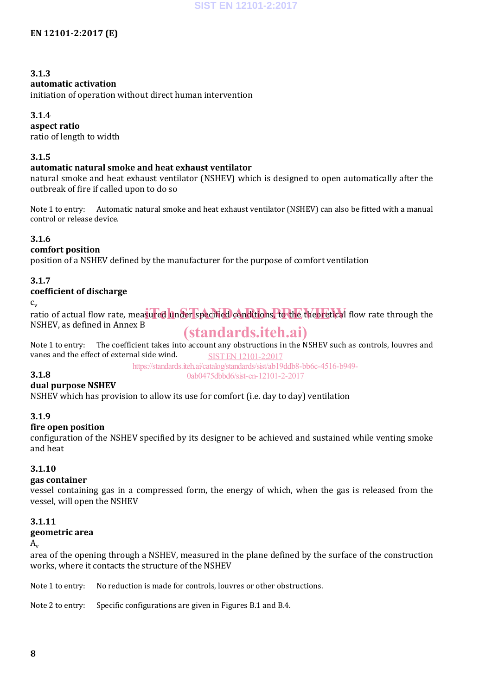#### **3.1.3**

#### **automatic activation**

initiation of operation without direct human intervention

#### **3.1.4**

**aspect ratio** ratio of length to width

#### **3.1.5**

#### **automatic natural smoke and heat exhaust ventilator**

natural smoke and heat exhaust ventilator (NSHEV) which is designed to open automatically after the outbreak of fire if called upon to do so

Note 1 to entry: Automatic natural smoke and heat exhaust ventilator (NSHEV) can also be fitted with a manual control or release device.

#### **3.1.6**

#### **comfort position**

position of a NSHEV defined by the manufacturer for the purpose of comfort ventilation

#### **3.1.7**

#### **coefficient of discharge**

 $C_{\nu}$ 

ratio of actual flow rate, measured under specified conditions, to the theoretical flow rate through the  $\frac{1}{2}$ NSHEV, as defined in Annex B

### (standards.iteh.ai)

Note 1 to entry: The coefficient takes into account any obstructions in the NSHEV such as controls, louvres and vanes and the effect of external side wind. SIST EN 12101-2:2017

https://standards.iteh.ai/catalog/standards/sist/ab19ddb8-bb6c-4516-b949- 0ab0475dbbd6/sist-en-12101-2-2017

#### **3.1.8 dual purpose NSHEV**

NSHEV which has provision to allow its use for comfort (i.e. day to day) ventilation

#### **3.1.9**

#### **fire open position**

configuration of the NSHEV specified by its designer to be achieved and sustained while venting smoke and heat

#### **3.1.10**

#### **gas container**

vessel containing gas in a compressed form, the energy of which, when the gas is released from the vessel, will open the NSHEV

#### **3.1.11**

#### **geometric area**

 $A_{\nu}$ 

area of the opening through a NSHEV, measured in the plane defined by the surface of the construction works, where it contacts the structure of the NSHEV

Note 1 to entry: No reduction is made for controls, louvres or other obstructions.

Note 2 to entry: Specific configurations are given in Figures B.1 and B.4.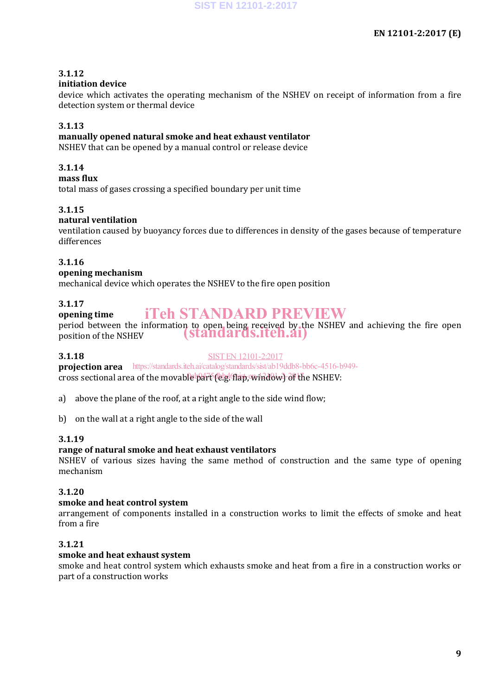#### **3.1.12**

#### **initiation device**

device which activates the operating mechanism of the NSHEV on receipt of information from a fire detection system or thermal device

#### **3.1.13**

#### **manually opened natural smoke and heat exhaust ventilator**

NSHEV that can be opened by a manual control or release device

#### **3.1.14**

**mass flux**

total mass of gases crossing a specified boundary per unit time

#### **3.1.15**

#### **natural ventilation**

ventilation caused by buoyancy forces due to differences in density of the gases because of temperature differences

#### **3.1.16**

#### **opening mechanism**

mechanical device which operates the NSHEV to the fire open position

#### **3.1.17**

#### **opening time** iTeh STANDARD PREVIEW

period between the information to open being received by the NSHEV and achieving the fire open position of the NSHEV (standards.iteh.ai)

#### **3.1.18**

SIST EN 12101-2:2017

**projection area** https://standards.iteh.ai/catalog/standards/sist/ab19ddb8-bb6c-4516-b949 cross sectional area of the movable part (e.g. flap, window) of the NSHEV:

a) above the plane of the roof, at a right angle to the side wind flow;

b) on the wall at a right angle to the side of the wall

#### **3.1.19**

#### **range of natural smoke and heat exhaust ventilators**

NSHEV of various sizes having the same method of construction and the same type of opening mechanism

#### **3.1.20**

#### **smoke and heat control system**

arrangement of components installed in a construction works to limit the effects of smoke and heat from a fire

#### **3.1.21**

#### **smoke and heat exhaust system**

smoke and heat control system which exhausts smoke and heat from a fire in a construction works or part of a construction works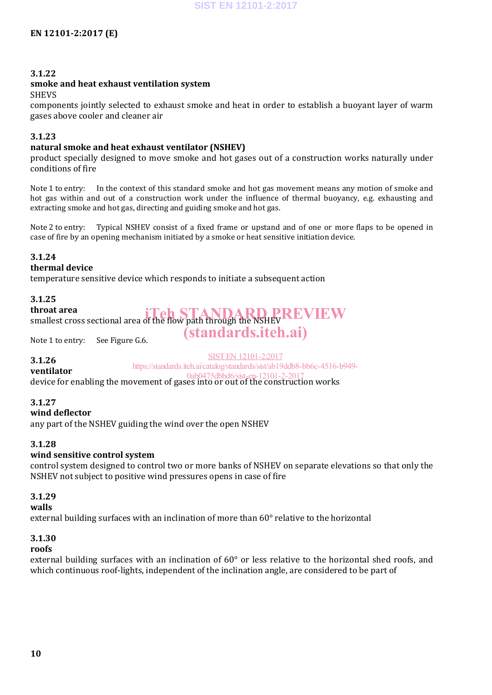#### **3.1.22**

### **smoke and heat exhaust ventilation system**

**SHEVS** 

components jointly selected to exhaust smoke and heat in order to establish a buoyant layer of warm gases above cooler and cleaner air

#### **3.1.23**

#### **natural smoke and heat exhaust ventilator (NSHEV)**

product specially designed to move smoke and hot gases out of a construction works naturally under conditions of fire

Note 1 to entry: In the context of this standard smoke and hot gas movement means any motion of smoke and hot gas within and out of a construction work under the influence of thermal buoyancy, e.g. exhausting and extracting smoke and hot gas, directing and guiding smoke and hot gas.

Note 2 to entry: Typical NSHEV consist of a fixed frame or upstand and of one or more flaps to be opened in case of fire by an opening mechanism initiated by a smoke or heat sensitive initiation device.

#### **3.1.24**

#### **thermal device**

temperature sensitive device which responds to initiate a subsequent action

#### **3.1.25**

#### **throat area**

throat area sectional area of the flow path through the NSHEV REVIEW (standards.iteh.ai)

Note 1 to entry: See Figure G.6.

#### SIST EN 12101-2:2017

#### **3.1.26 ventilator**

https://standards.iteh.ai/catalog/standards/sist/ab19ddb8-bb6c-4516-b949-

device for enabling the movement of gases into or out of the construction works 0ab0475dbbd6/sist-en-12101-2-2017

#### **3.1.27**

**wind deflector**

any part of the NSHEV guiding the wind over the open NSHEV

#### **3.1.28**

#### **wind sensitive control system**

control system designed to control two or more banks of NSHEV on separate elevations so that only the NSHEV not subject to positive wind pressures opens in case of fire

#### **3.1.29**

#### **walls**

external building surfaces with an inclination of more than 60° relative to the horizontal

#### **3.1.30**

#### **roofs**

external building surfaces with an inclination of 60° or less relative to the horizontal shed roofs, and which continuous roof-lights, independent of the inclination angle, are considered to be part of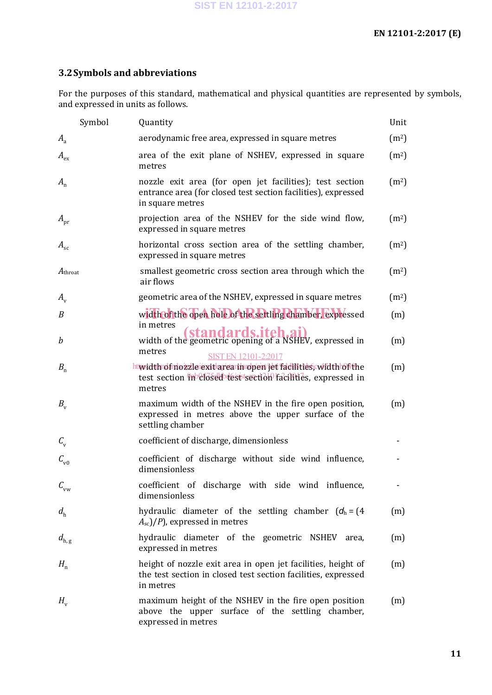### **3.2Symbols and abbreviations**

For the purposes of this standard, mathematical and physical quantities are represented by symbols, and expressed in units as follows.

| Symbol                    | Quantity                                                                                                                                      | Unit              |
|---------------------------|-----------------------------------------------------------------------------------------------------------------------------------------------|-------------------|
| $A_{\rm a}$               | aerodynamic free area, expressed in square metres                                                                                             | (m <sup>2</sup> ) |
| $A_{\rm ex}$              | area of the exit plane of NSHEV, expressed in square<br>metres                                                                                | (m <sup>2</sup> ) |
| $A_{n}$                   | nozzle exit area (for open jet facilities); test section<br>entrance area (for closed test section facilities), expressed<br>in square metres | (m <sup>2</sup> ) |
| $A_{\rm pr}$              | projection area of the NSHEV for the side wind flow,<br>expressed in square metres                                                            | (m <sup>2</sup> ) |
| $A_{\rm sc}$              | horizontal cross section area of the settling chamber,<br>expressed in square metres                                                          | (m <sup>2</sup> ) |
| $A_{\text{throat}}$       | smallest geometric cross section area through which the<br>air flows                                                                          | (m <sup>2</sup> ) |
| $A_{\rm v}$               | geometric area of the NSHEV, expressed in square metres                                                                                       | (m <sup>2</sup> ) |
| B                         | width of the open hole of the settling chamber, expressed<br>in metres                                                                        | (m)               |
| $\boldsymbol{b}$          | (standards.iteh.ai)<br>width of the geometric opening of a NSHEV, expressed in<br>metres<br><b>SIST EN 12101-2:2017</b>                       | (m)               |
| $B_{n}$                   | httwidthrofrhozzleiexitlarearihropen/jet fadilities, wfdthlof the<br>test section in closed test section facilities, expressed in<br>metres   | (m)               |
| $B_{\rm v}$               | maximum width of the NSHEV in the fire open position,<br>expressed in metres above the upper surface of the<br>settling chamber               | (m)               |
| $\mathcal{C}_{\rm v}$     | coefficient of discharge, dimensionless                                                                                                       |                   |
| $\mathcal{C}_{\rm v0}$    | coefficient of discharge without side wind influence,<br>dimensionless                                                                        |                   |
| $\mathcal{C}_{_{\rm vw}}$ | coefficient of discharge with side wind influence,<br>dimensionless                                                                           |                   |
| d <sub>h</sub>            | hydraulic diameter of the settling chamber $(dh = (4$<br>$A_{\rm sc}$ )/P), expressed in metres                                               | (m)               |
| $d_{\rm h, g}$            | hydraulic diameter of the geometric NSHEV area,<br>expressed in metres                                                                        | (m)               |
| $H_{n}$                   | height of nozzle exit area in open jet facilities, height of<br>the test section in closed test section facilities, expressed<br>in metres    | (m)               |
| $H_{\rm v}$               | maximum height of the NSHEV in the fire open position<br>above the upper surface of the settling chamber,<br>expressed in metres              | (m)               |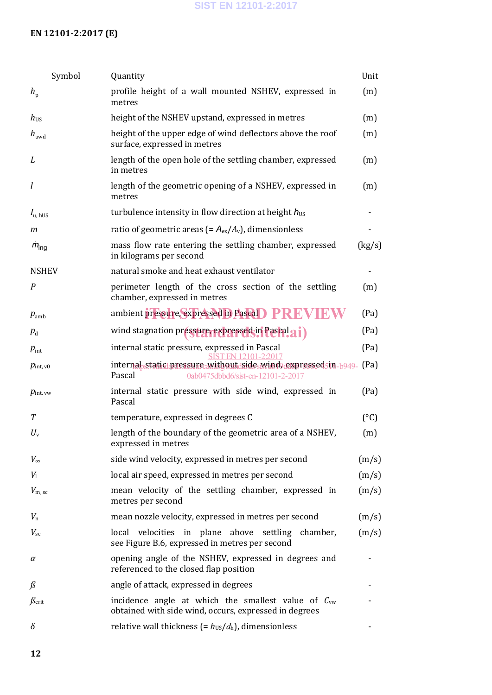### **EN 12101-2:2017 (E)**

| Symbol               | Quantity                                                                                                         | Unit          |
|----------------------|------------------------------------------------------------------------------------------------------------------|---------------|
| $h_{\rm p}$          | profile height of a wall mounted NSHEV, expressed in<br>metres                                                   | (m)           |
| $h_{\text{US}}$      | height of the NSHEV upstand, expressed in metres                                                                 | (m)           |
| $h_{\text{uwd}}$     | height of the upper edge of wind deflectors above the roof<br>surface, expressed in metres                       | (m)           |
| L                    | length of the open hole of the settling chamber, expressed<br>in metres                                          | (m)           |
| 1                    | length of the geometric opening of a NSHEV, expressed in<br>metres                                               | (m)           |
| $I_{\rm u, hUS}$     | turbulence intensity in flow direction at height $h_{\text{US}}$                                                 |               |
| m                    | ratio of geometric areas (= $A_{ex}/A_{v}$ ), dimensionless                                                      |               |
| $\dot{m}_{\rm ing}$  | mass flow rate entering the settling chamber, expressed<br>in kilograms per second                               | (kg/s)        |
| <b>NSHEV</b>         | natural smoke and heat exhaust ventilator                                                                        |               |
| $\boldsymbol{P}$     | perimeter length of the cross section of the settling<br>chamber, expressed in metres                            | (m)           |
| $p_{amb}$            | ambient pressure, expressed in Pascal D PREVIEW                                                                  | (Pa)          |
| $p_{\rm d}$          | wind stagnation préssure, expressed in Pascal ai)                                                                | (Pa)          |
| $p_{\rm int}$        | internal static pressure, expressed in Pascal                                                                    | (Pa)          |
| $p_{\text{int, v0}}$ | internal static pressure without side wind expressed in -b949-<br>Pascal<br>0ab0475dbbd6/sist-en-12101-2-2017    | (Pa)          |
| $p_{\text{int, vw}}$ | internal static pressure with side wind, expressed in<br>Pascal                                                  | (Pa)          |
| T                    | temperature, expressed in degrees C                                                                              | $(^{\circ}C)$ |
| $U_{\rm v}$          | length of the boundary of the geometric area of a NSHEV,<br>expressed in metres                                  | (m)           |
| $V_{\infty}$         | side wind velocity, expressed in metres per second                                                               | (m/s)         |
| $V_1$                | local air speed, expressed in metres per second                                                                  | (m/s)         |
| $V_{\rm m, sc}$      | mean velocity of the settling chamber, expressed in<br>metres per second                                         | (m/s)         |
| $V_{\rm n}$          | mean nozzle velocity, expressed in metres per second                                                             | (m/s)         |
| $V_{\rm sc}$         | local velocities in plane above settling chamber,<br>see Figure B.6, expressed in metres per second              | (m/s)         |
| α                    | opening angle of the NSHEV, expressed in degrees and<br>referenced to the closed flap position                   |               |
| ß                    | angle of attack, expressed in degrees                                                                            |               |
| $\beta$ crit         | incidence angle at which the smallest value of $C_{vw}$<br>obtained with side wind, occurs, expressed in degrees |               |
| $\delta$             | relative wall thickness (= $h_{\text{US}}/d_{\text{h}}$ ), dimensionless                                         |               |

**12**